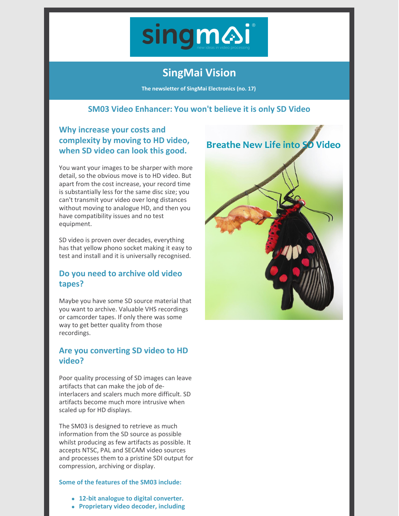

# **SingMai Vision**

**The newsletter of SingMai Electronics (no. 17)**

#### **SM03 Video Enhancer: You won't [believe](https://www.singmai.com/ip_cores.html) it is only SD Video**

## **Why increase your costs and complexity by moving to HD video, when SD video can look this good.**

You want your images to be sharper with more detail, so the obvious move is to HD video. But apart from the cost increase, your record time is substantially less for the same disc size; you can't transmit your video over long distances without moving to analogue HD, and then you have compatibility issues and no test equipment.

SD video is proven over decades, everything has that yellow phono socket making it easy to test and install and it is universally recognised.

## **Do you need to archive old video tapes?**

Maybe you have some SD source material that you want to archive. Valuable VHS recordings or camcorder tapes. If only there was some way to get better quality from those recordings.

### **Are you converting SD video to HD video?**

Poor quality processing of SD images can leave artifacts that can make the job of deinterlacers and scalers much more difficult. SD artifacts become much more intrusive when scaled up for HD displays.

The SM03 is designed to retrieve as much information from the SD source as possible whilst producing as few artifacts as possible. It accepts NTSC, PAL and SECAM video sources and processes them to a pristine SDI output for compression, archiving or display.

#### **Some of the features of the SM03 include:**

- **12-bit analogue to digital converter.**
- **Proprietary video decoder, including**

**Breathe New Life into SO Video**